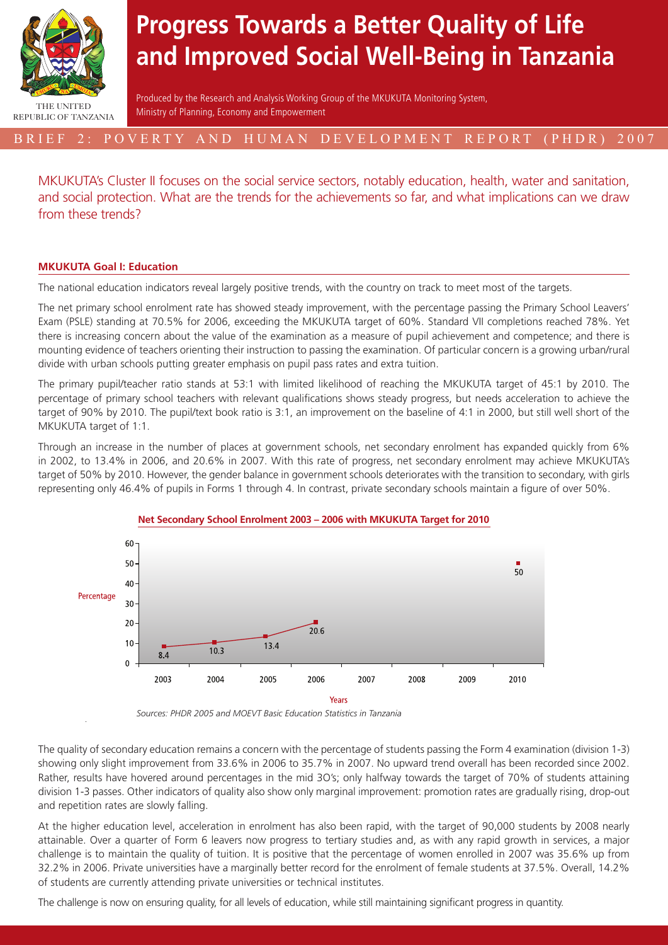

# **Progress Towards a Better Quality of Life and Improved Social Well-Being in Tanzania**

Produced by the Research and Analysis Working Group of the MKUKUTA Monitoring System, Ministry of Planning, Economy and Empowerment

# BRIEF 2: POVERTY AND HUMAN DEVELOPMENT REPORT (PHDR) 2007

MKUKUTA's Cluster II focuses on the social service sectors, notably education, health, water and sanitation, and social protection. What are the trends for the achievements so far, and what implications can we draw from these trends?

# **MKUKUTA Goal I: Education**

The national education indicators reveal largely positive trends, with the country on track to meet most of the targets.

The net primary school enrolment rate has showed steady improvement, with the percentage passing the Primary School Leavers' Exam (PSLE) standing at 70.5% for 2006, exceeding the MKUKUTA target of 60%. Standard VII completions reached 78%. Yet there is increasing concern about the value of the examination as a measure of pupil achievement and competence; and there is mounting evidence of teachers orienting their instruction to passing the examination. Of particular concern is a growing urban/rural divide with urban schools putting greater emphasis on pupil pass rates and extra tuition.

The primary pupil/teacher ratio stands at 53:1 with limited likelihood of reaching the MKUKUTA target of 45:1 by 2010. The percentage of primary school teachers with relevant qualifications shows steady progress, but needs acceleration to achieve the target of 90% by 2010. The pupil/text book ratio is 3:1, an improvement on the baseline of 4:1 in 2000, but still well short of the MKUKUTA target of 1:1.

Through an increase in the number of places at government schools, net secondary enrolment has expanded quickly from 6% in 2002, to 13.4% in 2006, and 20.6% in 2007. With this rate of progress, net secondary enrolment may achieve MKUKUTA's target of 50% by 2010. However, the gender balance in government schools deteriorates with the transition to secondary, with girls representing only 46.4% of pupils in Forms 1 through 4. In contrast, private secondary schools maintain a figure of over 50%.



# **Net Secondary School Enrolment 2003 – 2006 with MKUKUTA Target for 2010**

*Sources: PHDR 2005 and MOEVT Basic Education Statistics in Tanzania*

The quality of secondary education remains a concern with the percentage of students passing the Form 4 examination (division 1-3) showing only slight improvement from 33.6% in 2006 to 35.7% in 2007. No upward trend overall has been recorded since 2002. Rather, results have hovered around percentages in the mid 3O's; only halfway towards the target of 70% of students attaining division 1-3 passes. Other indicators of quality also show only marginal improvement: promotion rates are gradually rising, drop-out and repetition rates are slowly falling.

At the higher education level, acceleration in enrolment has also been rapid, with the target of 90,000 students by 2008 nearly attainable. Over a quarter of Form 6 leavers now progress to tertiary studies and, as with any rapid growth in services, a major challenge is to maintain the quality of tuition. It is positive that the percentage of women enrolled in 2007 was 35.6% up from 32.2% in 2006. Private universities have a marginally better record for the enrolment of female students at 37.5%. Overall, 14.2% of students are currently attending private universities or technical institutes.

The challenge is now on ensuring quality, for all levels of education, while still maintaining significant progress in quantity.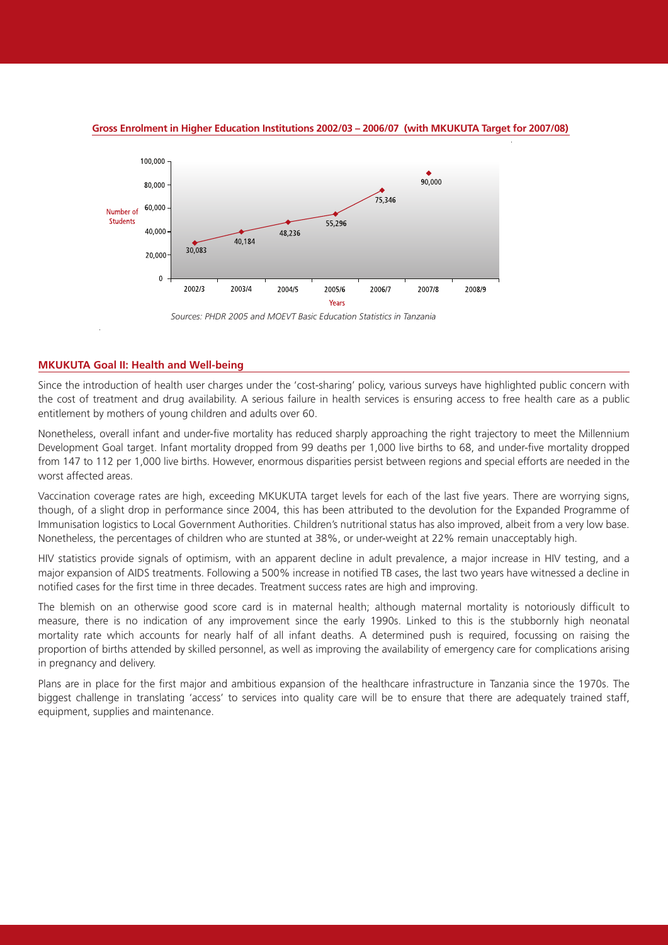

### **Gross Enrolment in Higher Education Institutions 2002/03 – 2006/07 (with MKUKUTA Target for 2007/08)**

*Sources: PHDR 2005 and MOEVT Basic Education Statistics in Tanzania*

# **MKUKUTA Goal II: Health and Well-being**

Since the introduction of health user charges under the 'cost-sharing' policy, various surveys have highlighted public concern with the cost of treatment and drug availability. A serious failure in health services is ensuring access to free health care as a public entitlement by mothers of young children and adults over 60.

Nonetheless, overall infant and under-five mortality has reduced sharply approaching the right trajectory to meet the Millennium Development Goal target. Infant mortality dropped from 99 deaths per 1,000 live births to 68, and under-five mortality dropped from 147 to 112 per 1,000 live births. However, enormous disparities persist between regions and special efforts are needed in the worst affected areas.

Vaccination coverage rates are high, exceeding MKUKUTA target levels for each of the last five years. There are worrying signs, though, of a slight drop in performance since 2004, this has been attributed to the devolution for the Expanded Programme of Immunisation logistics to Local Government Authorities. Children's nutritional status has also improved, albeit from a very low base. Nonetheless, the percentages of children who are stunted at 38%, or under-weight at 22% remain unacceptably high.

HIV statistics provide signals of optimism, with an apparent decline in adult prevalence, a major increase in HIV testing, and a major expansion of AIDS treatments. Following a 500% increase in notified TB cases, the last two years have witnessed a decline in notified cases for the first time in three decades. Treatment success rates are high and improving.

The blemish on an otherwise good score card is in maternal health; although maternal mortality is notoriously difficult to measure, there is no indication of any improvement since the early 1990s. Linked to this is the stubbornly high neonatal mortality rate which accounts for nearly half of all infant deaths. A determined push is required, focussing on raising the proportion of births attended by skilled personnel, as well as improving the availability of emergency care for complications arising in pregnancy and delivery.

Plans are in place for the first major and ambitious expansion of the healthcare infrastructure in Tanzania since the 1970s. The biggest challenge in translating 'access' to services into quality care will be to ensure that there are adequately trained staff, equipment, supplies and maintenance.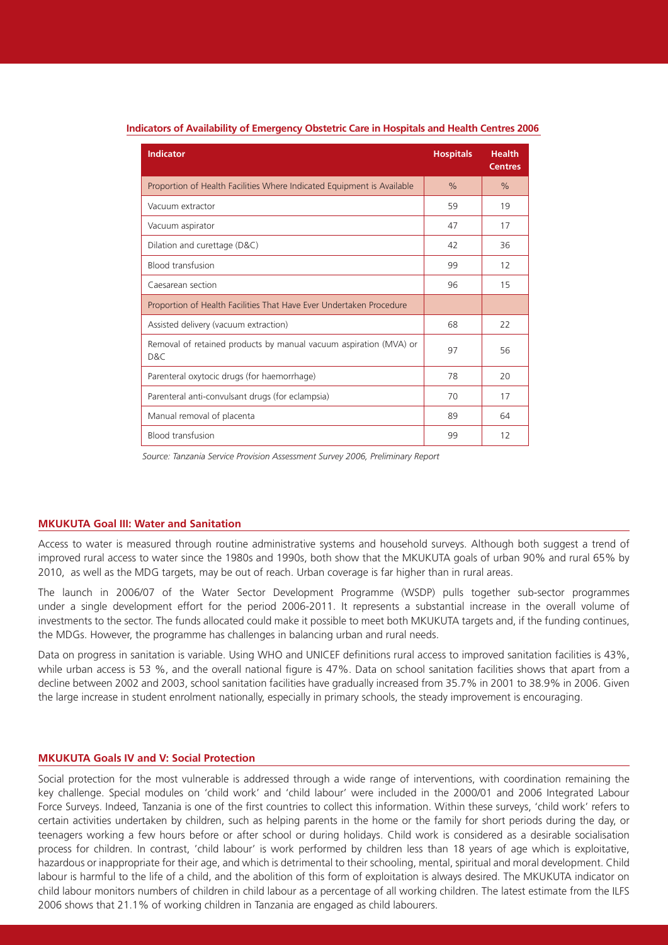| <b>Indicator</b>                                                         | <b>Hospitals</b> | <b>Health</b><br><b>Centres</b> |
|--------------------------------------------------------------------------|------------------|---------------------------------|
| Proportion of Health Facilities Where Indicated Equipment is Available   | $\frac{0}{0}$    | $\%$                            |
| Vacuum extractor                                                         | 59               | 19                              |
| Vacuum aspirator                                                         | 47               | 17                              |
| Dilation and curettage (D&C)                                             | 42               | 36                              |
| <b>Blood transfusion</b>                                                 | 99               | 12                              |
| Caesarean section                                                        | 96               | 15                              |
| Proportion of Health Facilities That Have Ever Undertaken Procedure      |                  |                                 |
| Assisted delivery (vacuum extraction)                                    | 68               | 22                              |
| Removal of retained products by manual vacuum aspiration (MVA) or<br>D&C | 97               | 56                              |
| Parenteral oxytocic drugs (for haemorrhage)                              | 78               | 20                              |
| Parenteral anti-convulsant drugs (for eclampsia)                         | 70               | 17                              |
| Manual removal of placenta                                               | 89               | 64                              |
| <b>Blood transfusion</b>                                                 | 99               | 12                              |

#### **Indicators of Availability of Emergency Obstetric Care in Hospitals and Health Centres 2006**

*Source: Tanzania Service Provision Assessment Survey 2006, Preliminary Report*

## **MKUKUTA Goal III: Water and Sanitation**

Access to water is measured through routine administrative systems and household surveys. Although both suggest a trend of improved rural access to water since the 1980s and 1990s, both show that the MKUKUTA goals of urban 90% and rural 65% by 2010, as well as the MDG targets, may be out of reach. Urban coverage is far higher than in rural areas.

The launch in 2006/07 of the Water Sector Development Programme (WSDP) pulls together sub-sector programmes under a single development effort for the period 2006-2011. It represents a substantial increase in the overall volume of investments to the sector. The funds allocated could make it possible to meet both MKUKUTA targets and, if the funding continues, the MDGs. However, the programme has challenges in balancing urban and rural needs.

Data on progress in sanitation is variable. Using WHO and UNICEF definitions rural access to improved sanitation facilities is 43%, while urban access is 53 %, and the overall national figure is 47%. Data on school sanitation facilities shows that apart from a decline between 2002 and 2003, school sanitation facilities have gradually increased from 35.7% in 2001 to 38.9% in 2006. Given the large increase in student enrolment nationally, especially in primary schools, the steady improvement is encouraging.

#### **MKUKUTA Goals IV and V: Social Protection**

Social protection for the most vulnerable is addressed through a wide range of interventions, with coordination remaining the key challenge. Special modules on 'child work' and 'child labour' were included in the 2000/01 and 2006 Integrated Labour Force Surveys. Indeed, Tanzania is one of the first countries to collect this information. Within these surveys, 'child work' refers to certain activities undertaken by children, such as helping parents in the home or the family for short periods during the day, or teenagers working a few hours before or after school or during holidays. Child work is considered as a desirable socialisation process for children. In contrast, 'child labour' is work performed by children less than 18 years of age which is exploitative, hazardous or inappropriate for their age, and which is detrimental to their schooling, mental, spiritual and moral development. Child labour is harmful to the life of a child, and the abolition of this form of exploitation is always desired. The MKUKUTA indicator on child labour monitors numbers of children in child labour as a percentage of all working children. The latest estimate from the ILFS 2006 shows that 21.1% of working children in Tanzania are engaged as child labourers.